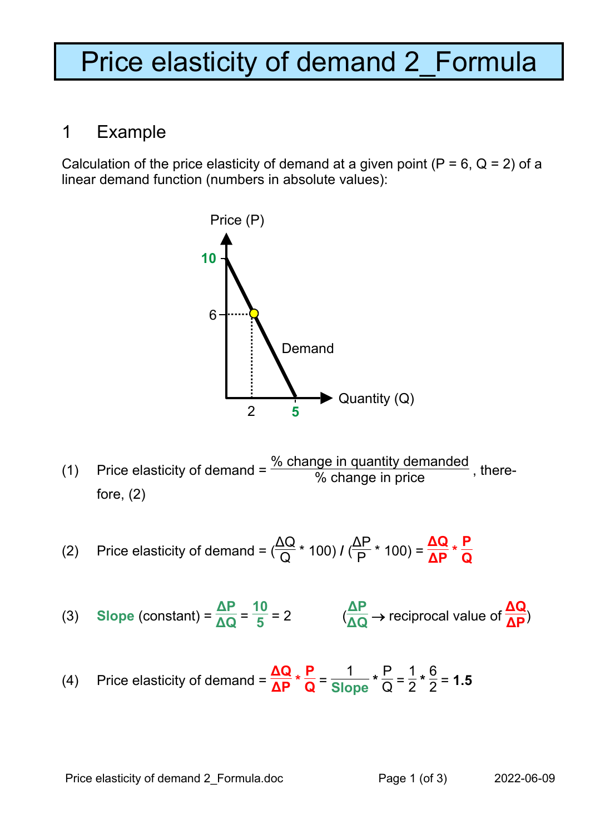## Price elasticity of demand 2\_Formula

## 1 Example

Calculation of the price elasticity of demand at a given point ( $P = 6$ ,  $Q = 2$ ) of a linear demand function (numbers in absolute values):



(1) Price elasticity of demand =  $\frac{\% \text{ change in quantity demanded}}{\% \text{ change in price}}$ , therefore, (2)

(2) Price elasticity of demand = 
$$
(\frac{\Delta Q}{Q} * 100) I (\frac{\Delta P}{P} * 100) = \frac{\Delta Q}{\Delta P} * \frac{P}{Q}
$$

(3) Slope (constant) = 
$$
\frac{\Delta P}{\Delta Q} = \frac{10}{5} = 2
$$
  $(\frac{\Delta P}{\Delta Q} \rightarrow$  reciprocal value of  $\frac{\Delta Q}{\Delta P}$ )

(4) Price elasticity of demand = 
$$
\frac{\Delta Q}{\Delta P} \times \frac{P}{Q} = \frac{1}{Slope} \times \frac{P}{Q} = \frac{1}{2} \times \frac{6}{2} = 1.5
$$

Price elasticity of demand 2\_Formula.doc Page 1 (of 3) 2022-06-09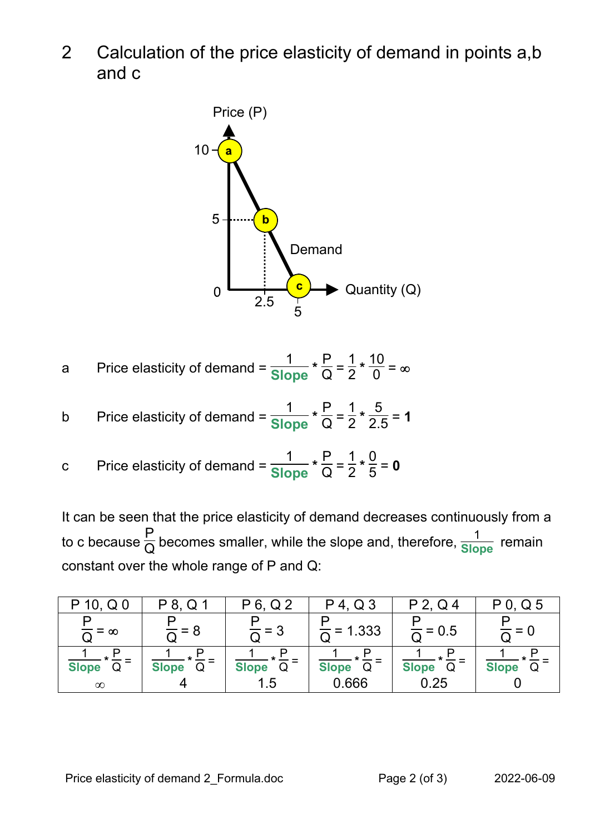2 Calculation of the price elasticity of demand in points a,b and c



a Price elasticity of demand =  $\frac{1}{\text{Slope}} * \frac{P}{Q} =$ 1  $\frac{1}{2} * \frac{10}{0} = \infty$ 

b Price elasticity of demand = 
$$
\frac{1}{\text{Slope}} \times \frac{P}{Q} = \frac{1}{2} \times \frac{5}{2.5} = 1
$$

c Price elasticity of demand =  $\frac{1}{\text{Slope}} * \frac{P}{Q} =$ 1  $\frac{1}{2} \cdot \frac{0}{5} = 0$ 

It can be seen that the price elasticity of demand decreases continuously from a to c because  $\frac{\mathsf{P}}{\mathsf{Q}}$  becomes smaller, while the slope and, therefore,  $\frac{\mathsf{1}}{\mathsf{Slope}}$  remain constant over the whole range of P and Q:

| 10, $Q_0$<br>D    | P 8, Q 1     | P 6, Q 2          | $P$ 4, Q 3            | $P$ 2, Q 4          | $P$ 0, Q 5   |
|-------------------|--------------|-------------------|-----------------------|---------------------|--------------|
| $=$ $\infty$      |              |                   | $\frac{1}{2}$ = 1.333 | $\frac{1}{6}$ = 0.5 |              |
| <b>Slope</b><br>Q | <b>Slope</b> | <b>Slope</b><br>Q | Slope <sub>Q</sub>    | Slope Q             | <b>Slope</b> |
| $\infty$          |              | 1.5               | 0.666                 | 0.25                |              |